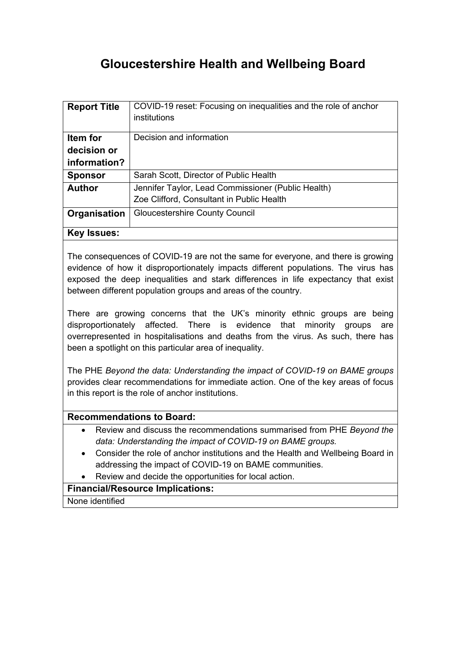# **Gloucestershire Health and Wellbeing Board**

| <b>Report Title</b> | COVID-19 reset: Focusing on inequalities and the role of anchor<br>institutions |
|---------------------|---------------------------------------------------------------------------------|
| Item for            | Decision and information                                                        |
| decision or         |                                                                                 |
| information?        |                                                                                 |
| <b>Sponsor</b>      | Sarah Scott, Director of Public Health                                          |
| <b>Author</b>       | Jennifer Taylor, Lead Commissioner (Public Health)                              |
|                     | Zoe Clifford, Consultant in Public Health                                       |
| Organisation        | <b>Gloucestershire County Council</b>                                           |
| <b>Key Issues:</b>  |                                                                                 |

The consequences of COVID-19 are not the same for everyone, and there is growing evidence of how it disproportionately impacts different populations. The virus has exposed the deep inequalities and stark differences in life expectancy that exist between different population groups and areas of the country.

There are growing concerns that the UK's minority ethnic groups are being disproportionately affected. There is evidence that minority groups are overrepresented in hospitalisations and deaths from the virus. As such, there has been a spotlight on this particular area of inequality.

The PHE *Beyond the data: [Understanding](https://assets.publishing.service.gov.uk/government/uploads/system/uploads/attachment_data/file/892376/COVID_stakeholder_engagement_synthesis_beyond_the_data.pdf) the impact of COVID-19 on BAME groups* provides clear recommendations for immediate action. One of the key areas of focus in this report is the role of anchor institutions.

### **Recommendations to Board:**

- Review and discuss the recommendations summarised from PHE *[Beyond](https://assets.publishing.service.gov.uk/government/uploads/system/uploads/attachment_data/file/892376/COVID_stakeholder_engagement_synthesis_beyond_the_data.pdf) the data: [Understanding](https://assets.publishing.service.gov.uk/government/uploads/system/uploads/attachment_data/file/892376/COVID_stakeholder_engagement_synthesis_beyond_the_data.pdf) the impact of COVID-19 on BAME groups.*
- Consider the role of anchor institutions and the Health and Wellbeing Board in addressing the impact of COVID-19 on BAME communities.
- Review and decide the opportunities for local action.

### **Financial/Resource Implications:**

None identified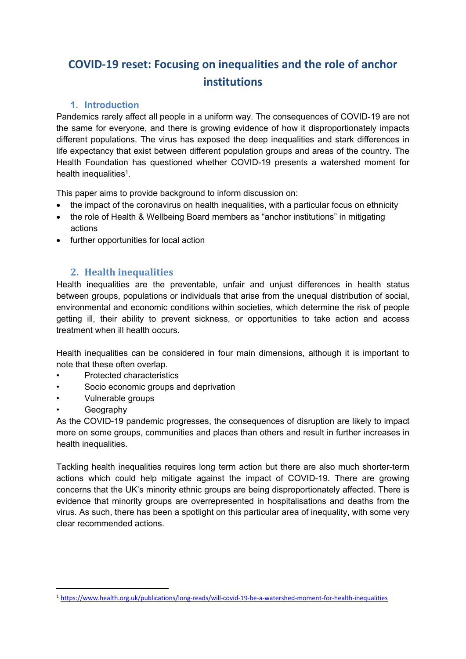# **COVID-19 reset: Focusing on inequalities and the role of anchor institutions**

## **1. Introduction**

Pandemics rarely affect all people in a uniform way. The consequences of COVID-19 are not the same for everyone, and there is growing evidence of how it disproportionately impacts different populations. The virus has exposed the deep inequalities and stark differences in life expectancy that exist between different population groups and areas of the country. The Health Foundation has questioned whether COVID-19 presents a watershed moment for health inequalities<sup>1</sup>.

This paper aims to provide background to inform discussion on:

- the impact of the coronavirus on health inequalities, with a particular focus on ethnicity
- the role of Health & Wellbeing Board members as "anchor institutions" in mitigating actions
- further opportunities for local action

# **2. Health inequalities**

Health inequalities are the preventable, unfair and unjust differences in health status between groups, populations or individuals that arise from the unequal distribution of social, environmental and economic conditions within societies, which determine the risk of people getting ill, their ability to prevent sickness, or opportunities to take action and access treatment when ill health occurs.

Health inequalities can be considered in four main dimensions, although it is important to note that these often overlap.

- Protected characteristics
- Socio economic groups and deprivation
- Vulnerable groups
- Geography

As the COVID-19 pandemic progresses, the consequences of disruption are likely to impact more on some groups, communities and places than others and result in further increases in health inequalities.

Tackling health inequalities requires long term action but there are also much shorter-term actions which could help mitigate against the impact of COVID-19. There are growing concerns that the UK's minority ethnic groups are being disproportionately affected. There is evidence that minority groups are overrepresented in hospitalisations and deaths from the virus. As such, there has been a spotlight on this particular area of inequality, with some very clear recommended actions.

<sup>1</sup> <https://www.health.org.uk/publications/long-reads/will-covid-19-be-a-watershed-moment-for-health-inequalities>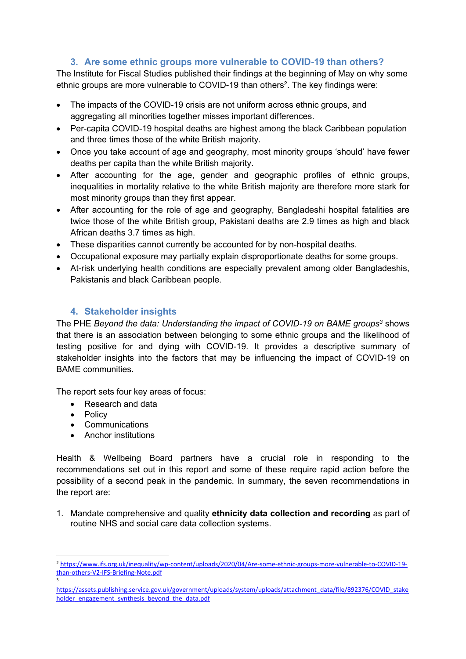# **3. Are some ethnic groups more vulnerable to COVID-19 than others?**

The Institute for Fiscal Studies published their findings at the beginning of May on why some ethnic groups are more vulnerable to COVID-19 than others<sup>2</sup>. The key findings were:

- The impacts of the COVID-19 crisis are not uniform across ethnic groups, and aggregating all minorities together misses important differences.
- Per-capita COVID-19 hospital deaths are highest among the black Caribbean population and three times those of the white British majority.
- Once you take account of age and geography, most minority groups 'should' have fewer deaths per capita than the white British majority.
- After accounting for the age, gender and geographic profiles of ethnic groups, inequalities in mortality relative to the white British majority are therefore more stark for most minority groups than they first appear.
- After accounting for the role of age and geography, Bangladeshi hospital fatalities are twice those of the white British group, Pakistani deaths are 2.9 times as high and black African deaths 3.7 times as high.
- These disparities cannot currently be accounted for by non-hospital deaths.
- Occupational exposure may partially explain disproportionate deaths for some groups.
- At-risk underlying health conditions are especially prevalent among older Bangladeshis, Pakistanis and black Caribbean people.

# **4. Stakeholder insights**

The PHE *Beyond the data: [Understanding](https://assets.publishing.service.gov.uk/government/uploads/system/uploads/attachment_data/file/892376/COVID_stakeholder_engagement_synthesis_beyond_the_data.pdf) the impact of COVID-19 on BAME groups<sup>3</sup>* shows that there is an association between belonging to some ethnic groups and the likelihood of testing positive for and dying with COVID-19. It provides a descriptive summary of stakeholder insights into the factors that may be influencing the impact of COVID-19 on BAME communities.

The report sets four key areas of focus:

- Research and data
- Policy
- Communications
- Anchor institutions

Health & Wellbeing Board partners have a crucial role in responding to the recommendations set out in this report and some of these require rapid action before the possibility of a second peak in the pandemic. In summary, the seven recommendations in the report are:

1. Mandate comprehensive and quality **ethnicity data collection and recording** as part of routine NHS and social care data collection systems.

<sup>2</sup> [https://www.ifs.org.uk/inequality/wp-content/uploads/2020/04/Are-some-ethnic-groups-more-vulnerable-to-COVID-19](https://www.ifs.org.uk/inequality/wp-content/uploads/2020/04/Are-some-ethnic-groups-more-vulnerable-to-COVID-19-than-others-V2-IFS-Briefing-Note.pdf) [than-others-V2-IFS-Briefing-Note.pdf](https://www.ifs.org.uk/inequality/wp-content/uploads/2020/04/Are-some-ethnic-groups-more-vulnerable-to-COVID-19-than-others-V2-IFS-Briefing-Note.pdf) 3

[https://assets.publishing.service.gov.uk/government/uploads/system/uploads/attachment\\_data/file/892376/COVID\\_stake](https://assets.publishing.service.gov.uk/government/uploads/system/uploads/attachment_data/file/892376/COVID_stakeholder_engagement_synthesis_beyond_the_data.pdf) [holder\\_engagement\\_synthesis\\_beyond\\_the\\_data.pdf](https://assets.publishing.service.gov.uk/government/uploads/system/uploads/attachment_data/file/892376/COVID_stakeholder_engagement_synthesis_beyond_the_data.pdf)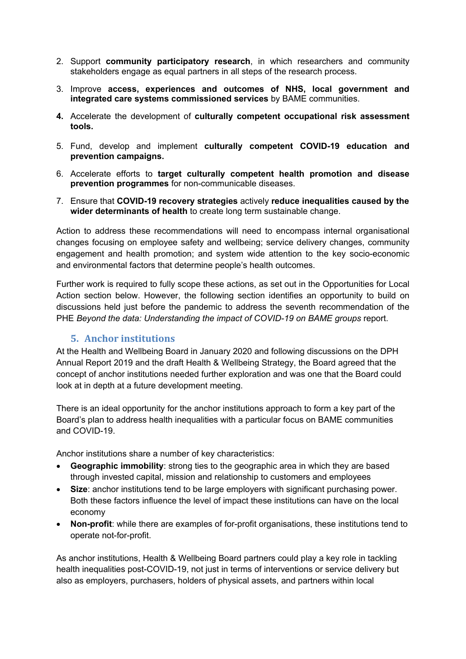- 2. Support **community participatory research**, in which researchers and community stakeholders engage as equal partners in all steps of the research process.
- 3. Improve **access, experiences and outcomes of NHS, local government and integrated care systems commissioned services** by BAME communities.
- **4.** Accelerate the development of **culturally competent occupational risk assessment tools.**
- 5. Fund, develop and implement **culturally competent COVID-19 education and prevention campaigns.**
- 6. Accelerate efforts to **target culturally competent health promotion and disease prevention programmes** for non-communicable diseases.
- 7. Ensure that **COVID-19 recovery strategies** actively **reduce inequalities caused by the wider determinants of health** to create long term sustainable change.

Action to address these recommendations will need to encompass internal organisational changes focusing on employee safety and wellbeing; service delivery changes, community engagement and health promotion; and system wide attention to the key socio-economic and environmental factors that determine people's health outcomes.

Further work is required to fully scope these actions, as set out in the Opportunities for Local Action section below. However, the following section identifies an opportunity to build on discussions held just before the pandemic to address the seventh recommendation of the PHE *Beyond the data: Understanding the impact of COVID-19 on BAME groups* report.

### **5. Anchor institutions**

At the Health and Wellbeing Board in January 2020 and following discussions on the DPH Annual Report 2019 and the draft Health & Wellbeing Strategy, the Board agreed that the concept of anchor institutions needed further exploration and was one that the Board could look at in depth at a future development meeting.

There is an ideal opportunity for the anchor institutions approach to form a key part of the Board's plan to address health inequalities with a particular focus on BAME communities and COVID-19.

Anchor institutions share a number of key characteristics:

- **Geographic immobility**: strong ties to the geographic area in which they are based through invested capital, mission and relationship to customers and employees
- **Size**: anchor institutions tend to be large employers with significant purchasing power. Both these factors influence the level of impact these institutions can have on the local economy
- **Non-profit**: while there are examples of for-profit organisations, these institutions tend to operate not-for-profit.

As anchor institutions, Health & Wellbeing Board partners could play a key role in tackling health inequalities post-COVID-19, not just in terms of interventions or service delivery but also as employers, purchasers, holders of physical assets, and partners within local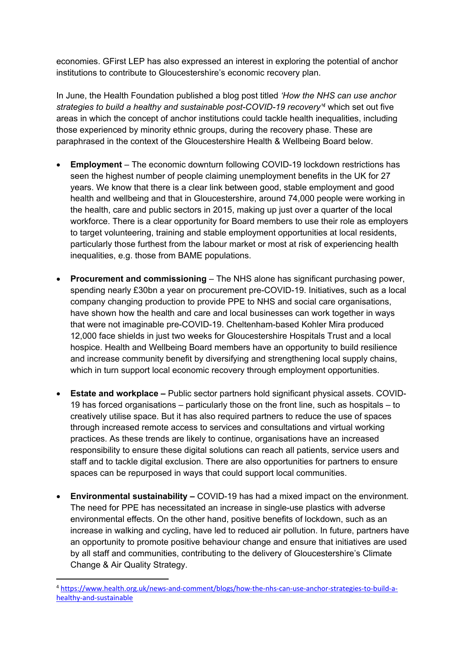economies. GFirst LEP has also expressed an interest in exploring the potential of anchor institutions to contribute to Gloucestershire's economic recovery plan.

In June, the Health Foundation published a blog post titled *'How the NHS can use anchor strategies to build a healthy and sustainable post-COVID-19 recovery'<sup>4</sup>* which set out five areas in which the concept of anchor institutions could tackle health inequalities, including those experienced by minority ethnic groups, during the recovery phase. These are paraphrased in the context of the Gloucestershire Health & Wellbeing Board below.

- **Employment** The economic downturn following COVID-19 lockdown restrictions has seen the highest number of people claiming unemployment benefits in the UK for 27 years. We know that there is a clear link between good, stable employment and good health and wellbeing and that in Gloucestershire, around 74,000 people were working in the health, care and public sectors in 2015, making up just over a quarter of the local workforce. There is a clear opportunity for Board members to use their role as employers to target volunteering, training and stable employment opportunities at local residents, particularly those furthest from the labour market or most at risk of experiencing health inequalities, e.g. those from BAME populations.
- **Procurement and commissioning** The NHS alone has significant purchasing power, spending nearly £30bn a year on procurement pre-COVID-19. Initiatives, such as a local company changing production to provide PPE to NHS and social care organisations, have shown how the health and care and local businesses can work together in ways that were not imaginable pre-COVID-19. Cheltenham-based Kohler Mira produced 12,000 face shields in just two weeks for Gloucestershire Hospitals Trust and a local hospice. Health and Wellbeing Board members have an opportunity to build resilience and increase community benefit by diversifying and strengthening local supply chains, which in turn support local economic recovery through employment opportunities.
- **Estate and workplace –** Public sector partners hold significant physical assets. COVID-19 has forced organisations – particularly those on the front line, such as hospitals – to creatively utilise space. But it has also required partners to reduce the use of spaces through increased remote access to services and consultations and virtual working practices. As these trends are likely to continue, organisations have an increased responsibility to ensure these digital solutions can reach all patients, service users and staff and to tackle digital exclusion. There are also opportunities for partners to ensure spaces can be repurposed in ways that could support local communities.
- **Environmental sustainability –** COVID-19 has had a mixed impact on the environment. The need for PPE has necessitated an increase in single-use plastics with adverse environmental effects. On the other hand, positive benefits of lockdown, such as an increase in walking and cycling, have led to reduced air pollution. In future, partners have an opportunity to promote positive behaviour change and ensure that initiatives are used by all staff and communities, contributing to the delivery of Gloucestershire's Climate Change & Air Quality Strategy.

<sup>4</sup> [https://www.health.org.uk/news-and-comment/blogs/how-the-nhs-can-use-anchor-strategies-to-build-a](https://www.health.org.uk/news-and-comment/blogs/how-the-nhs-can-use-anchor-strategies-to-build-a-healthy-and-sustainable)[healthy-and-sustainable](https://www.health.org.uk/news-and-comment/blogs/how-the-nhs-can-use-anchor-strategies-to-build-a-healthy-and-sustainable)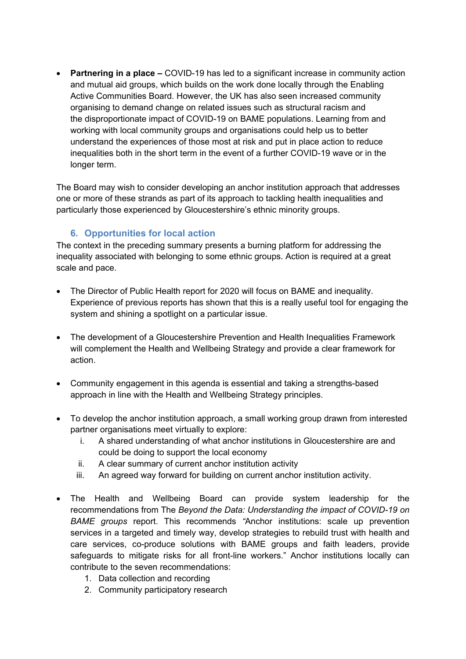**Partnering in a place –** COVID-19 has led to a significant increase in community action and mutual aid groups, which builds on the work done locally through the Enabling Active Communities Board. However, the UK has also seen increased community organising to demand change on related issues such as structural racism and the disproportionate impact of COVID-19 on BAME populations. Learning from and working with local community groups and organisations could help us to better understand the experiences of those most at risk and put in place action to reduce inequalities both in the short term in the event of a further COVID-19 wave or in the longer term.

The Board may wish to consider developing an anchor institution approach that addresses one or more of these strands as part of its approach to tackling health inequalities and particularly those experienced by Gloucestershire's ethnic minority groups.

## **6. Opportunities for local action**

The context in the preceding summary presents a burning platform for addressing the inequality associated with belonging to some ethnic groups. Action is required at a great scale and pace.

- The Director of Public Health report for 2020 will focus on BAME and inequality. Experience of previous reports has shown that this is a really useful tool for engaging the system and shining a spotlight on a particular issue.
- The development of a Gloucestershire Prevention and Health Inequalities Framework will complement the Health and Wellbeing Strategy and provide a clear framework for action.
- Community engagement in this agenda is essential and taking a strengths-based approach in line with the Health and Wellbeing Strategy principles.
- To develop the anchor institution approach, a small working group drawn from interested partner organisations meet virtually to explore:
	- i. A shared understanding of what anchor institutions in Gloucestershire are and could be doing to support the local economy
	- ii. A clear summary of current anchor institution activity
	- iii. An agreed way forward for building on current anchor institution activity.
- The Health and Wellbeing Board can provide system leadership for the recommendations from The *Beyond the Data: Understanding the impact of COVID-19 on BAME groups* report. This recommends *"*Anchor institutions: scale up prevention services in a targeted and timely way, develop strategies to rebuild trust with health and care services, co-produce solutions with BAME groups and faith leaders, provide safeguards to mitigate risks for all front-line workers." Anchor institutions locally can contribute to the seven recommendations:
	- 1. Data collection and recording
	- 2. Community participatory research